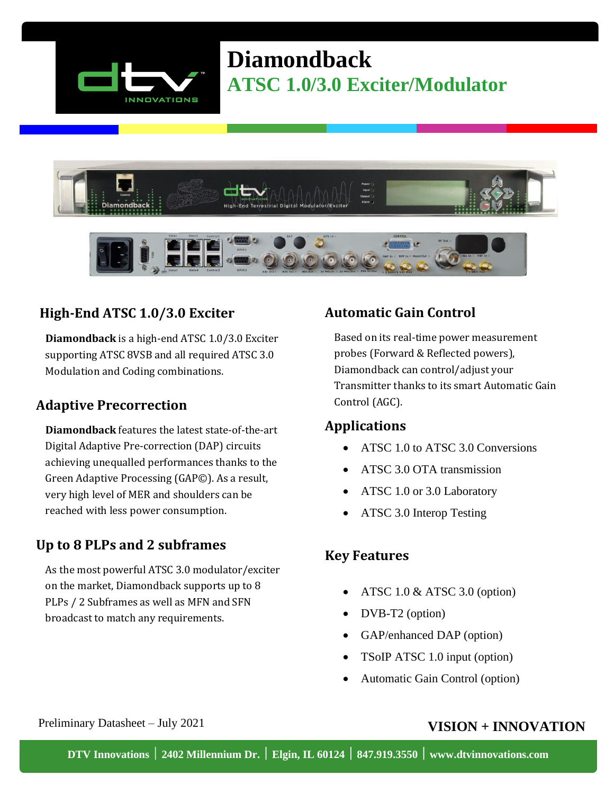

# **Diamondback ATSC 1.0/3.0 Exciter/Modulator**





## **High-End ATSC 1.0/3.0 Exciter**

**Diamondback** is a high-end ATSC 1.0/3.0 Exciter supporting ATSC 8VSB and all required ATSC 3.0 Modulation and Coding combinations.

### **Adaptive Precorrection**

**Diamondback** features the latest state-of-the-art Digital Adaptive Pre-correction (DAP) circuits achieving unequalled performances thanks to the Green Adaptive Processing (GAP©). As a result, very high level of MER and shoulders can be reached with less power consumption.

### **Up to 8 PLPs and 2 subframes**

As the most powerful ATSC 3.0 modulator/exciter on the market, Diamondback supports up to 8 PLPs / 2 Subframes as well as MFN and SFN broadcast to match any requirements.

## **Automatic Gain Control**

Based on its real-time power measurement probes (Forward & Reflected powers), Diamondback can control/adjust your Transmitter thanks to its smart Automatic Gain Control (AGC).

#### **Applications**

- ATSC 1.0 to ATSC 3.0 Conversions
- ATSC 3.0 OTA transmission
- ATSC 1.0 or 3.0 Laboratory
- ATSC 3.0 Interop Testing

### **Key Features**

- ATSC  $1.0 \&$  ATSC  $3.0$  (option)
- DVB-T2 (option)
- GAP/enhanced DAP (option)
- TSoIP ATSC 1.0 input (option)
- Automatic Gain Control (option)

#### Preliminary Datasheet – July 2021 **VISION + INNOVATION**